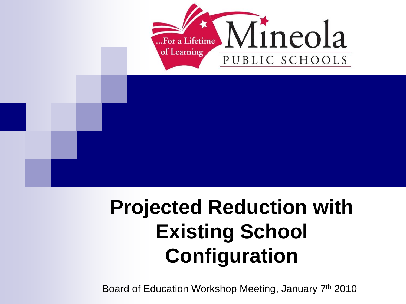

## **Projected Reduction with Existing School Configuration**

Board of Education Workshop Meeting, January 7th 2010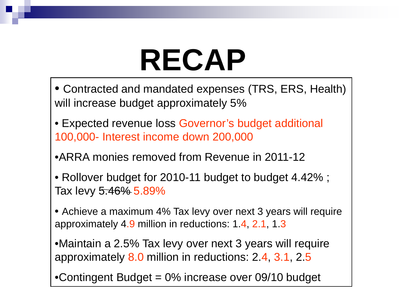# **RECAP**

- Contracted and mandated expenses (TRS, ERS, Health) will increase budget approximately 5%
- Expected revenue loss Governor's budget additional 100,000- Interest income down 200,000
- •ARRA monies removed from Revenue in 2011-12
- Rollover budget for 2010-11 budget to budget 4.42% ; Tax levy 5.46% 5.89%
- Achieve a maximum 4% Tax levy over next 3 years will require approximately 4.9 million in reductions: 1.4, 2.1, 1.3
- •Maintain a 2.5% Tax levy over next 3 years will require approximately 8.0 million in reductions: 2.4, 3.1, 2.5
- •Contingent Budget = 0% increase over 09/10 budget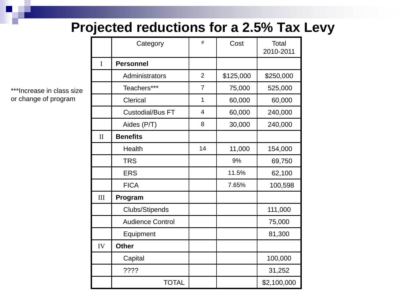#### **Projected reductions for a 2.5% Tax Levy**

\*\*\*Increase in class size or change of program

|              | Category                | #              | Cost      | Total<br>2010-2011 |
|--------------|-------------------------|----------------|-----------|--------------------|
| I            | <b>Personnel</b>        |                |           |                    |
|              | Administrators          | $\overline{2}$ | \$125,000 | \$250,000          |
|              | Teachers***             | $\overline{7}$ | 75,000    | 525,000            |
|              | Clerical                | $\mathbf{1}$   | 60,000    | 60,000             |
|              | <b>Custodial/Bus FT</b> | 4              | 60,000    | 240,000            |
|              | Aides (P/T)             | 8              | 30,000    | 240,000            |
| $\mathbf{I}$ | <b>Benefits</b>         |                |           |                    |
|              | Health                  | 14             | 11,000    | 154,000            |
|              | <b>TRS</b>              |                | 9%        | 69,750             |
|              | <b>ERS</b>              |                | 11.5%     | 62,100             |
|              | <b>FICA</b>             |                | 7.65%     | 100,598            |
| III          | Program                 |                |           |                    |
|              | <b>Clubs/Stipends</b>   |                |           | 111,000            |
|              | <b>Audience Control</b> |                |           | 75,000             |
|              | Equipment               |                |           | 81,300             |
| IV           | <b>Other</b>            |                |           |                    |
|              | Capital                 |                |           | 100,000            |
|              | ????                    |                |           | 31,252             |
|              | <b>TOTAL</b>            |                |           | \$2,100,000        |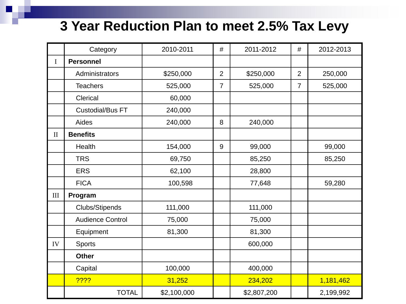#### **3 Year Reduction Plan to meet 2.5% Tax Levy**

|              | Category                | 2010-2011   | #              | 2011-2012   | #              | 2012-2013 |
|--------------|-------------------------|-------------|----------------|-------------|----------------|-----------|
| I            | <b>Personnel</b>        |             |                |             |                |           |
|              | Administrators          | \$250,000   | $\overline{2}$ | \$250,000   | $\overline{2}$ | 250,000   |
|              | <b>Teachers</b>         | 525,000     | $\overline{7}$ | 525,000     | $\overline{7}$ | 525,000   |
|              | Clerical                | 60,000      |                |             |                |           |
|              | <b>Custodial/Bus FT</b> | 240,000     |                |             |                |           |
|              | Aides                   | 240,000     | 8              | 240,000     |                |           |
| $\mathbf{I}$ | <b>Benefits</b>         |             |                |             |                |           |
|              | Health                  | 154,000     | 9              | 99,000      |                | 99,000    |
|              | <b>TRS</b>              | 69,750      |                | 85,250      |                | 85,250    |
|              | <b>ERS</b>              | 62,100      |                | 28,800      |                |           |
|              | <b>FICA</b>             | 100,598     |                | 77,648      |                | 59,280    |
| $\rm III$    | Program                 |             |                |             |                |           |
|              | Clubs/Stipends          | 111,000     |                | 111,000     |                |           |
|              | <b>Audience Control</b> | 75,000      |                | 75,000      |                |           |
|              | Equipment               | 81,300      |                | 81,300      |                |           |
| IV           | <b>Sports</b>           |             |                | 600,000     |                |           |
|              | <b>Other</b>            |             |                |             |                |           |
|              | Capital                 | 100,000     |                | 400,000     |                |           |
|              | 7222                    | 31,252      |                | 234,202     |                | 1,181,462 |
|              | <b>TOTAL</b>            | \$2,100,000 |                | \$2,807,200 |                | 2,199,992 |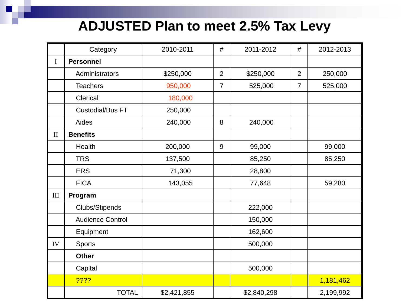#### **ADJUSTED Plan to meet 2.5% Tax Levy**

|              | Category                | 2010-2011   | #              | 2011-2012   | #              | 2012-2013 |
|--------------|-------------------------|-------------|----------------|-------------|----------------|-----------|
| $\mathbf I$  | <b>Personnel</b>        |             |                |             |                |           |
|              | Administrators          | \$250,000   | $\overline{2}$ | \$250,000   | $\overline{2}$ | 250,000   |
|              | <b>Teachers</b>         | 950,000     | $\overline{7}$ | 525,000     | $\overline{7}$ | 525,000   |
|              | Clerical                | 180,000     |                |             |                |           |
|              | <b>Custodial/Bus FT</b> | 250,000     |                |             |                |           |
|              | Aides                   | 240,000     | 8              | 240,000     |                |           |
| $\mathbf{I}$ | <b>Benefits</b>         |             |                |             |                |           |
|              | Health                  | 200,000     | 9              | 99,000      |                | 99,000    |
|              | <b>TRS</b>              | 137,500     |                | 85,250      |                | 85,250    |
|              | <b>ERS</b>              | 71,300      |                | 28,800      |                |           |
|              | <b>FICA</b>             | 143,055     |                | 77,648      |                | 59,280    |
| III          | Program                 |             |                |             |                |           |
|              | Clubs/Stipends          |             |                | 222,000     |                |           |
|              | <b>Audience Control</b> |             |                | 150,000     |                |           |
|              | Equipment               |             |                | 162,600     |                |           |
| IV           | Sports                  |             |                | 500,000     |                |           |
|              | <b>Other</b>            |             |                |             |                |           |
|              | Capital                 |             |                | 500,000     |                |           |
|              | 7222                    |             |                |             |                | 1,181,462 |
|              | <b>TOTAL</b>            | \$2,421,855 |                | \$2,840,298 |                | 2,199,992 |